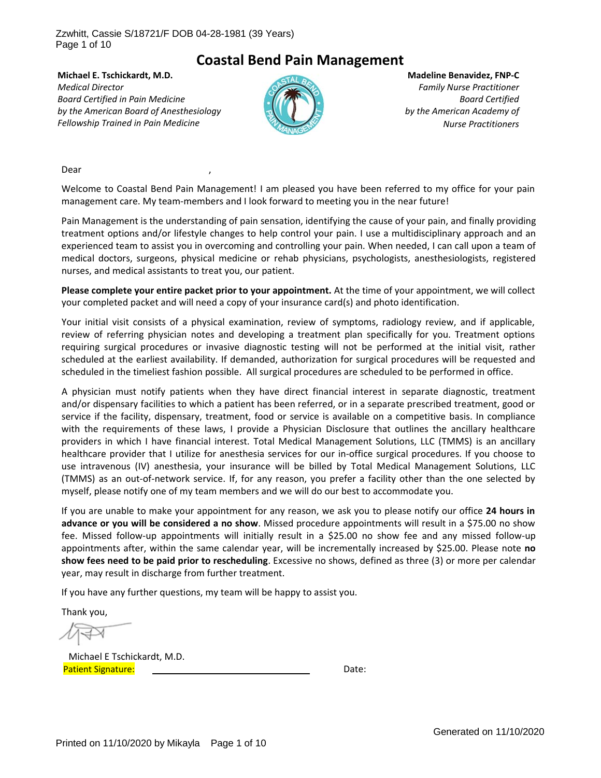Page 1 of 10

## **Coastal Bend Pain Management**

**Michael E. Tschickardt, M.D.** *Medical Director Board Certified in Pain Medicine by the American Board of Anesthesiology Fellowship Trained in Pain Medicine*



**Madeline Benavidez, FNP‐C** *Family Nurse Practitioner Board Certified by the American Academy of Nurse Practitioners*

Dear ,

Welcome to Coastal Bend Pain Management! I am pleased you have been referred to my office for your pain management care. My team-members and I look forward to meeting you in the near future!

Pain Management is the understanding of pain sensation, identifying the cause of your pain, and finally providing treatment options and/or lifestyle changes to help control your pain. I use a multidisciplinary approach and an experienced team to assist you in overcoming and controlling your pain. When needed, I can call upon a team of medical doctors, surgeons, physical medicine or rehab physicians, psychologists, anesthesiologists, registered nurses, and medical assistants to treat you, our patient.

**Please complete your entire packet prior to your appointment.** At the time of your appointment, we will collect your completed packet and will need a copy of your insurance card(s) and photo identification.

Your initial visit consists of a physical examination, review of symptoms, radiology review, and if applicable, review of referring physician notes and developing a treatment plan specifically for you. Treatment options requiring surgical procedures or invasive diagnostic testing will not be performed at the initial visit, rather scheduled at the earliest availability. If demanded, authorization for surgical procedures will be requested and scheduled in the timeliest fashion possible. All surgical procedures are scheduled to be performed in office.

A physician must notify patients when they have direct financial interest in separate diagnostic, treatment and/or dispensary facilities to which a patient has been referred, or in a separate prescribed treatment, good or service if the facility, dispensary, treatment, food or service is available on a competitive basis. In compliance with the requirements of these laws, I provide a Physician Disclosure that outlines the ancillary healthcare providers in which I have financial interest. Total Medical Management Solutions, LLC (TMMS) is an ancillary healthcare provider that I utilize for anesthesia services for our in-office surgical procedures. If you choose to use intravenous (IV) anesthesia, your insurance will be billed by Total Medical Management Solutions, LLC (TMMS) as an out‐of‐network service. If, for any reason, you prefer a facility other than the one selected by myself, please notify one of my team members and we will do our best to accommodate you.

If you are unable to make your appointment for any reason, we ask you to please notify our office **24 hours in advance or you will be considered a no show**. Missed procedure appointments will result in a \$75.00 no show fee. Missed follow‐up appointments will initially result in a \$25.00 no show fee and any missed follow‐up appointments after, within the same calendar year, will be incrementally increased by \$25.00. Please note **no show fees need to be paid prior to rescheduling**. Excessive no shows, defined as three (3) or more per calendar year, may result in discharge from further treatment.

If you have any further questions, my team will be happy to assist you.

Thank you,

 Michael E Tschickardt, M.D. Patient Signature: Mathematic Contract Contract Contract Contract Contract Contract Contract Contract Contract Contract Contract Contract Contract Contract Contract Contract Contract Contract Contract Contract Contract Con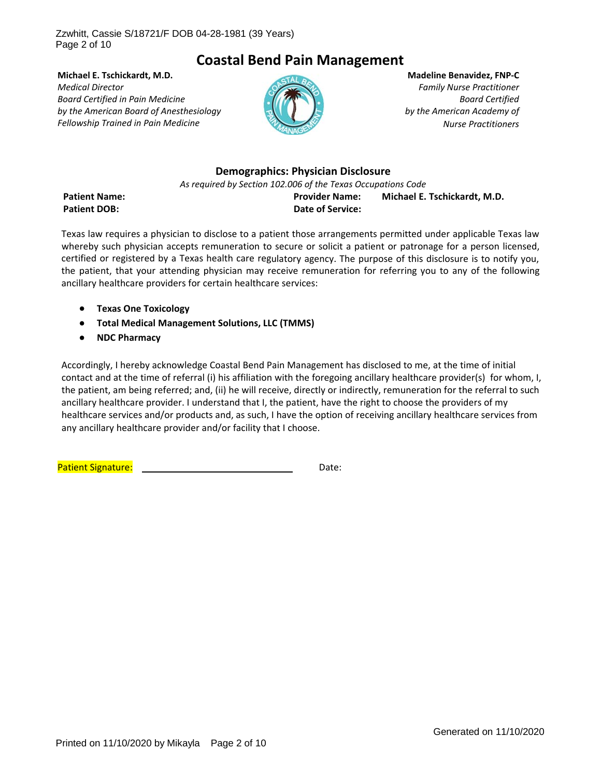Page 2 of 10

# **Coastal Bend Pain Management**

**Michael E. Tschickardt, M.D.** *Medical Director Board Certified in Pain Medicine by the American Board of Anesthesiology Fellowship Trained in Pain Medicine*



**Madeline Benavidez, FNP‐C** *Family Nurse Practitioner Board Certified by the American Academy of Nurse Practitioners*

#### **Demographics: Physician Disclosure**

*As required by Section 102.006 of the Texas Occupations Code*

**Patient Name: Provider Name: Michael E. Tschickardt, M.D. Patient DOB: Date of Service:**

Texas law requires a physician to disclose to a patient those arrangements permitted under applicable Texas law whereby such physician accepts remuneration to secure or solicit a patient or patronage for a person licensed, certified or registered by a Texas health care regulatory agency. The purpose of this disclosure is to notify you, the patient, that your attending physician may receive remuneration for referring you to any of the following ancillary healthcare providers for certain healthcare services:

- **Texas One Toxicology**
- **Total Medical Management Solutions, LLC (TMMS)**
- **NDC Pharmacy**

Accordingly, I hereby acknowledge Coastal Bend Pain Management has disclosed to me, at the time of initial contact and at the time of referral (i) his affiliation with the foregoing ancillary healthcare provider(s) for whom, I, the patient, am being referred; and, (ii) he will receive, directly or indirectly, remuneration for the referral to such ancillary healthcare provider. I understand that I, the patient, have the right to choose the providers of my healthcare services and/or products and, as such, I have the option of receiving ancillary healthcare services from any ancillary healthcare provider and/or facility that I choose.

Patient Signature: **Patient Signature:**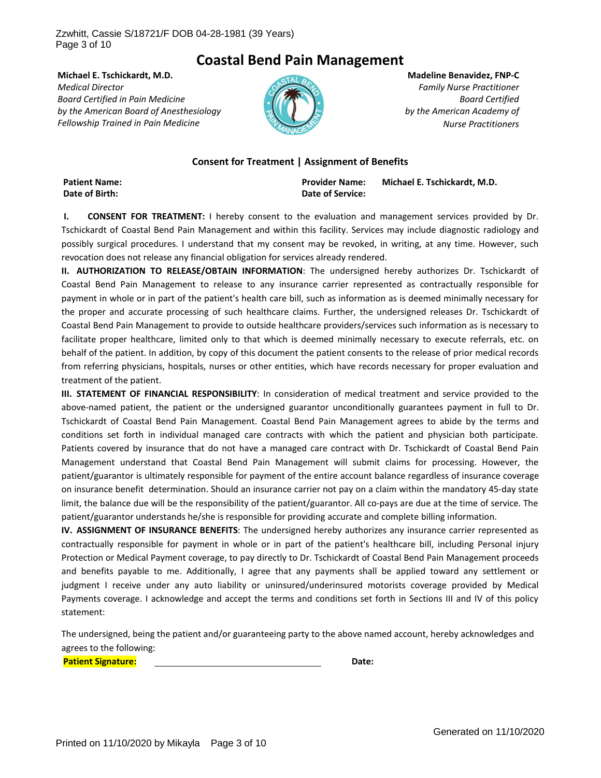Page 3 of 10

## **Coastal Bend Pain Management**

**Michael E. Tschickardt, M.D.** *Medical Director Board Certified in Pain Medicine by the American Board of Anesthesiology Fellowship Trained in Pain Medicine*



**Madeline Benavidez, FNP‐C** *Family Nurse Practitioner Board Certified by the American Academy of Nurse Practitioners*

#### **Consent for Treatment | Assignment of Benefits**

**Patient Name: Provider Name: Michael E. Tschickardt, M.D. Date of Birth: Date of Service:**

**I. CONSENT FOR TREATMENT:** I hereby consent to the evaluation and management services provided by Dr. Tschickardt of Coastal Bend Pain Management and within this facility. Services may include diagnostic radiology and possibly surgical procedures. I understand that my consent may be revoked, in writing, at any time. However, such revocation does not release any financial obligation for services already rendered.

**II. AUTHORIZATION TO RELEASE/OBTAIN INFORMATION**: The undersigned hereby authorizes Dr. Tschickardt of Coastal Bend Pain Management to release to any insurance carrier represented as contractually responsible for payment in whole or in part of the patient's health care bill, such as information as is deemed minimally necessary for the proper and accurate processing of such healthcare claims. Further, the undersigned releases Dr. Tschickardt of Coastal Bend Pain Management to provide to outside healthcare providers/services such information as is necessary to facilitate proper healthcare, limited only to that which is deemed minimally necessary to execute referrals, etc. on behalf of the patient. In addition, by copy of this document the patient consents to the release of prior medical records from referring physicians, hospitals, nurses or other entities, which have records necessary for proper evaluation and treatment of the patient.

**III. STATEMENT OF FINANCIAL RESPONSIBILITY**: In consideration of medical treatment and service provided to the above‐named patient, the patient or the undersigned guarantor unconditionally guarantees payment in full to Dr. Tschickardt of Coastal Bend Pain Management. Coastal Bend Pain Management agrees to abide by the terms and conditions set forth in individual managed care contracts with which the patient and physician both participate. Patients covered by insurance that do not have a managed care contract with Dr. Tschickardt of Coastal Bend Pain Management understand that Coastal Bend Pain Management will submit claims for processing. However, the patient/guarantor is ultimately responsible for payment of the entire account balance regardless of insurance coverage on insurance benefit determination. Should an insurance carrier not pay on a claim within the mandatory 45‐day state limit, the balance due will be the responsibility of the patient/guarantor. All co-pays are due at the time of service. The patient/guarantor understands he/she is responsible for providing accurate and complete billing information.

**IV. ASSIGNMENT OF INSURANCE BENEFITS**: The undersigned hereby authorizes any insurance carrier represented as contractually responsible for payment in whole or in part of the patient's healthcare bill, including Personal injury Protection or Medical Payment coverage, to pay directly to Dr. Tschickardt of Coastal Bend Pain Management proceeds and benefits payable to me. Additionally, I agree that any payments shall be applied toward any settlement or judgment I receive under any auto liability or uninsured/underinsured motorists coverage provided by Medical Payments coverage. I acknowledge and accept the terms and conditions set forth in Sections III and IV of this policy statement:

The undersigned, being the patient and/or guaranteeing party to the above named account, hereby acknowledges and agrees to the following:

**Patient Signature: Date: Date: Patient Signature: Patient Date: Date: Patient**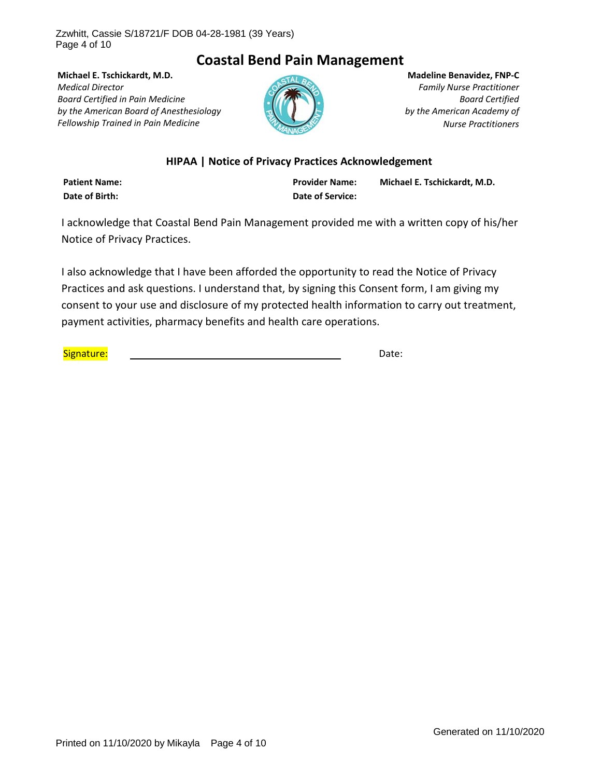Page 4 of 10

# **Coastal Bend Pain Management**

**Michael E. Tschickardt, M.D.** *Medical Director Board Certified in Pain Medicine by the American Board of Anesthesiology Fellowship Trained in Pain Medicine*



**Madeline Benavidez, FNP‐C** *Family Nurse Practitioner Board Certified by the American Academy of Nurse Practitioners*

### **HIPAA | Notice of Privacy Practices Acknowledgement**

**Date of Birth: Date of Service:**

**Patient Name: Provider Name: Michael E. Tschickardt, M.D.**

I acknowledge that Coastal Bend Pain Management provided me with a written copy of his/her Notice of Privacy Practices.

I also acknowledge that I have been afforded the opportunity to read the Notice of Privacy Practices and ask questions. I understand that, by signing this Consent form, I am giving my consent to your use and disclosure of my protected health information to carry out treatment, payment activities, pharmacy benefits and health care operations.

Signature: Date: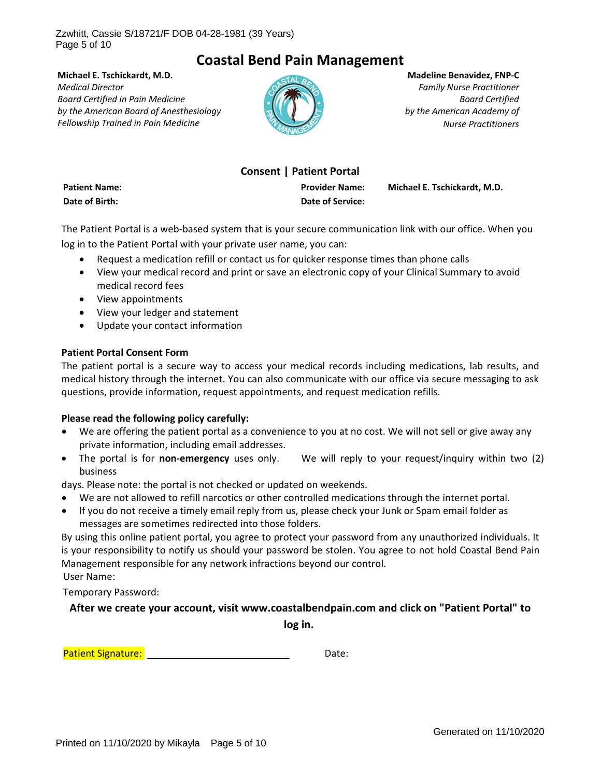Page 5 of 10

# **Coastal Bend Pain Management**

**Michael E. Tschickardt, M.D.** *Medical Director Board Certified in Pain Medicine by the American Board of Anesthesiology Fellowship Trained in Pain Medicine*



**Madeline Benavidez, FNP‐C** *Family Nurse Practitioner Board Certified by the American Academy of Nurse Practitioners*

## **Consent | Patient Portal**

**Date of Birth: Date of Service:**

**Patient Name: Provider Name: Michael E. Tschickardt, M.D.**

The Patient Portal is a web‐based system that is your secure communication link with our office. When you log in to the Patient Portal with your private user name, you can:

- Request a medication refill or contact us for quicker response times than phone calls
- View your medical record and print or save an electronic copy of your Clinical Summary to avoid medical record fees
- View appointments
- View your ledger and statement
- Update your contact information

#### **Patient Portal Consent Form**

The patient portal is a secure way to access your medical records including medications, lab results, and medical history through the internet. You can also communicate with our office via secure messaging to ask questions, provide information, request appointments, and request medication refills.

#### **Please read the following policy carefully:**

- We are offering the patient portal as a convenience to you at no cost. We will not sell or give away any private information, including email addresses.
- The portal is for **non-emergency** uses only. We will reply to your request/inquiry within two (2) business

days. Please note: the portal is not checked or updated on weekends.

- We are not allowed to refill narcotics or other controlled medications through the internet portal.
- If you do not receive a timely email reply from us, please check your Junk or Spam email folder as messages are sometimes redirected into those folders.

By using this online patient portal, you agree to protect your password from any unauthorized individuals. It is your responsibility to notify us should your password be stolen. You agree to not hold Coastal Bend Pain Management responsible for any network infractions beyond our control. User Name:

Temporary Password:

#### **After we create your account, visit www.coastalbendpain.com and click on "Patient Portal" to**

**log in.**

Patient Signature: **Patient Signature: Example 2018**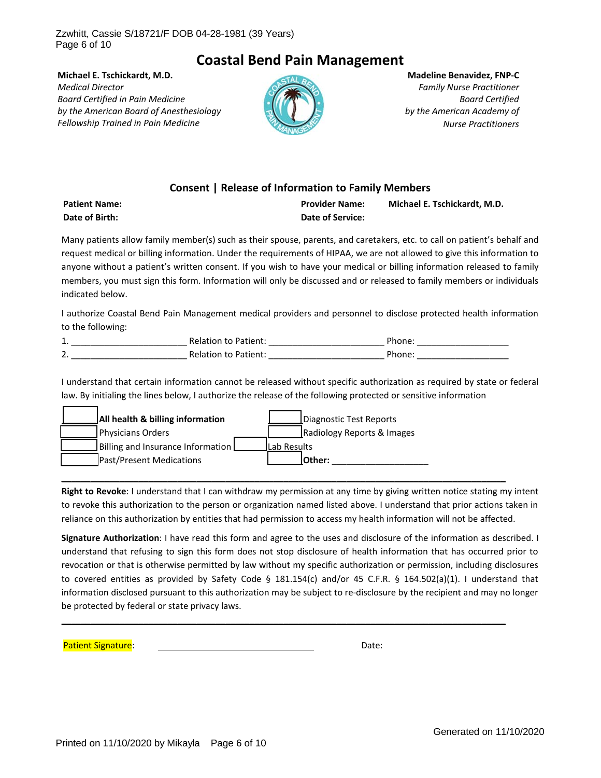Page 6 of 10

# **Coastal Bend Pain Management**

**Michael E. Tschickardt, M.D.** *Medical Director Board Certified in Pain Medicine by the American Board of Anesthesiology Fellowship Trained in Pain Medicine*



**Madeline Benavidez, FNP‐C** *Family Nurse Practitioner Board Certified by the American Academy of Nurse Practitioners*

### **Consent | Release of Information to Family Members**

| <b>Patient Name:</b> | <b>Provider Name:</b> | Michael E. Tschickardt, M.D. |
|----------------------|-----------------------|------------------------------|
| Date of Birth:       | Date of Service:      |                              |

Many patients allow family member(s) such as their spouse, parents, and caretakers, etc. to call on patient's behalf and request medical or billing information. Under the requirements of HIPAA, we are not allowed to give this information to anyone without a patient's written consent. If you wish to have your medical or billing information released to family members, you must sign this form. Information will only be discussed and or released to family members or individuals indicated below.

I authorize Coastal Bend Pain Management medical providers and personnel to disclose protected health information to the following:

| ᆠ.                             | <b>Relation to Patient:</b> | Phone: |
|--------------------------------|-----------------------------|--------|
| $\overline{\phantom{a}}$<br>z. | <b>Relation to Patient:</b> | Phone: |

I understand that certain information cannot be released without specific authorization as required by state or federal law. By initialing the lines below, I authorize the release of the following protected or sensitive information

| All health & billing information  |                     | Diagnostic Test Reports    |
|-----------------------------------|---------------------|----------------------------|
| Physicians Orders                 |                     | Radiology Reports & Images |
| Billing and Insurance Information | <b>ILab Results</b> |                            |
| <b>Past/Present Medications</b>   |                     | lOther:                    |

**Right to Revoke**: I understand that I can withdraw my permission at any time by giving written notice stating my intent to revoke this authorization to the person or organization named listed above. I understand that prior actions taken in reliance on this authorization by entities that had permission to access my health information will not be affected.

**\_\_\_\_\_\_\_\_\_\_\_\_\_\_\_\_\_\_\_\_\_\_\_\_\_\_\_\_\_\_\_\_\_\_\_\_\_\_\_\_\_\_\_\_\_\_\_\_\_\_\_\_\_\_\_\_\_\_\_\_\_\_\_\_\_\_\_\_\_\_\_\_\_\_\_\_\_\_\_\_\_\_\_\_\_\_\_\_\_\_\_\_**

**Signature Authorization**: I have read this form and agree to the uses and disclosure of the information as described. I understand that refusing to sign this form does not stop disclosure of health information that has occurred prior to revocation or that is otherwise permitted by law without my specific authorization or permission, including disclosures to covered entities as provided by Safety Code § 181.154(c) and/or 45 C.F.R. § 164.502(a)(1). I understand that information disclosed pursuant to this authorization may be subject to re‐disclosure by the recipient and may no longer be protected by federal or state privacy laws.

**\_\_\_\_\_\_\_\_\_\_\_\_\_\_\_\_\_\_\_\_\_\_\_\_\_\_\_\_\_\_\_\_\_\_\_\_\_\_\_\_\_\_\_\_\_\_\_\_\_\_\_\_\_\_\_\_\_\_\_\_\_\_\_\_\_\_\_\_\_\_\_\_\_\_\_\_\_\_\_\_\_\_\_\_\_\_\_\_\_\_\_\_**

Patient Signature: **Butchers** and the state of the state of the state of the state of the state of the state of the state of the state of the state of the state of the state of the state of the state of the state of the st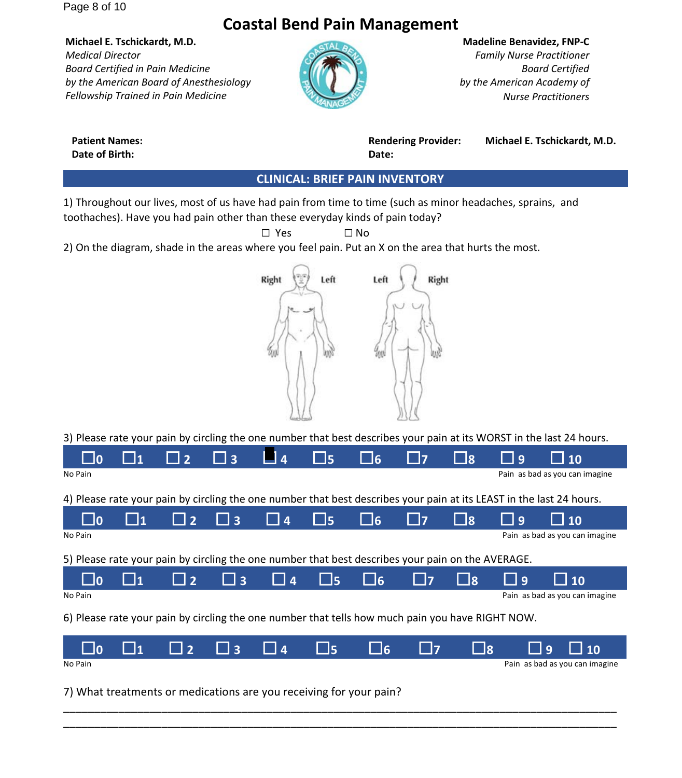Page 8 of 10

# **Coastal Bend Pain Management**

**Michael E. Tschickardt, M.D.** *Medical Director Board Certified in Pain Medicine by the American Board of Anesthesiology Fellowship Trained in Pain Medicine*



#### **Madeline Benavidez, FNP‐C**

*Family Nurse Practitioner Board Certified by the American Academy of Nurse Practitioners*

**Date of Birth: Date:**

**Patient Names: Rendering Provider: Michael E. Tschickardt, M.D.**

#### **CLINICAL: BRIEF PAIN INVENTORY**

1) Throughout our lives, most of us have had pain from time to time (such as minor headaches, sprains, and toothaches). Have you had pain other than these everyday kinds of pain today?

 $\Box$  Yes  $\Box$  No 2) On the diagram, shade in the areas where you feel pain. Put an X on the area that hurts the most.



3) Please rate your pain by circling the one number that best describes your pain at its WORST in the last 24 hours.

|                                                                                                   | $\sqcup_1$ | $\Box$ 2                 | $\Box$ 3 | ■ 4                                           | $\square$ 5 | <b>d</b> | $\Box$ 7    | $\Box$ 8   | $\Box$ 9 | $\Box$ 10                                                                                                            |
|---------------------------------------------------------------------------------------------------|------------|--------------------------|----------|-----------------------------------------------|-------------|----------|-------------|------------|----------|----------------------------------------------------------------------------------------------------------------------|
| No Pain                                                                                           |            |                          |          |                                               |             |          |             |            |          | Pain as bad as you can imagine                                                                                       |
|                                                                                                   |            |                          |          |                                               |             |          |             |            |          | 4) Please rate your pain by circling the one number that best describes your pain at its LEAST in the last 24 hours. |
| $\Box$ 0                                                                                          | $\sqcup_1$ | $\Box$ 2                 | $\Box$ 3 | $\Box$ 4                                      | $\Box$ 5    | $\Box$ 6 | $\Box$ 7    | $\sqcup$ 8 | $\Box$ 9 | $\Box$ 10                                                                                                            |
| No Pain                                                                                           |            |                          |          |                                               |             |          |             |            |          | Pain as bad as you can imagine                                                                                       |
| 5) Please rate your pain by circling the one number that best describes your pain on the AVERAGE. |            |                          |          |                                               |             |          |             |            |          |                                                                                                                      |
|                                                                                                   | $\sqcup_1$ | $\Box$ 2                 | $\Box$ 3 | $\begin{array}{ c c c }\n\hline\n\end{array}$ | $\square$ 5 | $\Box$ 6 | <u>  17</u> | ∐8         | $\Box$ 9 | $\Box$ 10                                                                                                            |
| No Pain                                                                                           |            |                          |          |                                               |             |          |             |            |          | Pain as bad as you can imagine                                                                                       |
| 6) Please rate your pain by circling the one number that tells how much pain you have RIGHT NOW.  |            |                          |          |                                               |             |          |             |            |          |                                                                                                                      |
|                                                                                                   | 11         | $\overline{\phantom{0}}$ | $\Box$ 3 | 4                                             | $\Box$ 5    | $\Box$ 6 | l 17        | $\sqcup$ 8 |          | $\Box$ 10<br>$\Box$ 9                                                                                                |
| No Pain                                                                                           |            |                          |          |                                               |             |          |             |            |          | Pain as bad as you can imagine                                                                                       |

\_\_\_\_\_\_\_\_\_\_\_\_\_\_\_\_\_\_\_\_\_\_\_\_\_\_\_\_\_\_\_\_\_\_\_\_\_\_\_\_\_\_\_\_\_\_\_\_\_\_\_\_\_\_\_\_\_\_\_\_\_\_\_\_\_\_\_\_\_\_\_\_\_\_\_\_\_\_\_\_\_\_\_\_\_\_\_\_\_\_ \_\_\_\_\_\_\_\_\_\_\_\_\_\_\_\_\_\_\_\_\_\_\_\_\_\_\_\_\_\_\_\_\_\_\_\_\_\_\_\_\_\_\_\_\_\_\_\_\_\_\_\_\_\_\_\_\_\_\_\_\_\_\_\_\_\_\_\_\_\_\_\_\_\_\_\_\_\_\_\_\_\_\_\_\_\_\_\_\_\_

7) What treatments or medications are you receiving for your pain?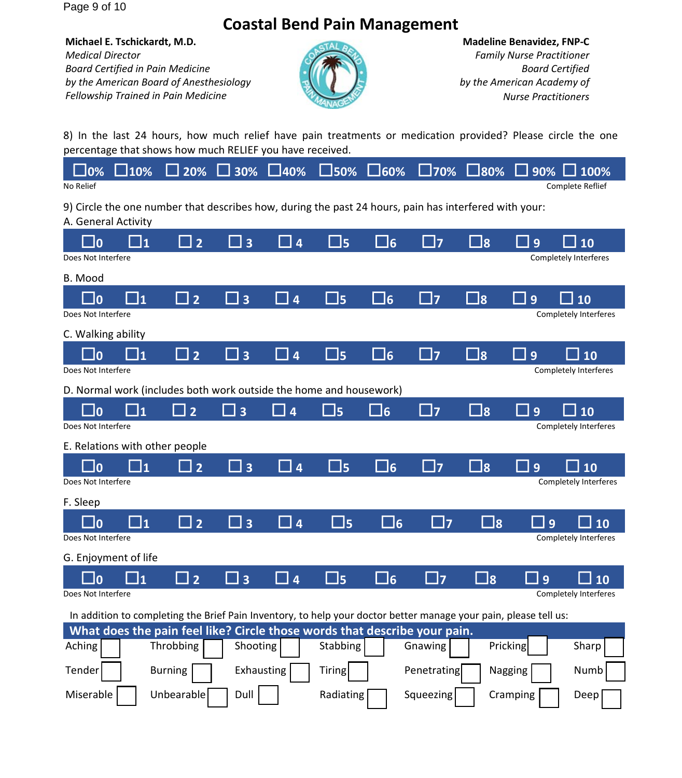Page 9 of 10

# **Coastal Bend Pain Management**

**Michael E. Tschickardt, M.D.** *Medical Director Board Certified in Pain Medicine by the American Board of Anesthesiology Fellowship Trained in Pain Medicine*



**Madeline Benavidez, FNP‐C** *Family Nurse Practitioner Board Certified by the American Academy of Nurse Practitioners*

8) In the last 24 hours, how much relief have pain treatments or medication provided? Please circle the one percentage that shows how much RELIEF you have received.

|           |  |  |  |  | $\Box$ 0% $\Box$ 10% $\Box$ 20% $\Box$ 30% $\Box$ 40% $\Box$ 50% $\Box$ 60% $\Box$ 70% $\Box$ 80% $\Box$ 90% $\Box$ 100% |
|-----------|--|--|--|--|--------------------------------------------------------------------------------------------------------------------------|
| No Relief |  |  |  |  | Complete Reflief                                                                                                         |

9) Circle the one number that describes how, during the past 24 hours, pain has interfered with your:

A. General Activity  $\square$ 0  $\square$ 1  $\square$ 2  $\square$ 3  $\square$ 4  $\square$ 5  $\square$ 6  $\square$ 7  $\square$ 8  $\square$ 9  $\square$ 10 Does Not Interfere Completely Interferes B. Mood  $\square$ 0  $\square$ 1  $\square$ 2  $\square$ 3  $\square$ 4  $\square$ 5  $\square$ 6  $\square$ 7  $\square$ 8  $\square$ 9  $\square$ 10 Does Not Interfere **Completely Interferes Completely Interferes** C. Walking ability  $\square$ 0  $\square$ 1  $\square$ 2  $\square$ 3  $\square$ 4  $\square$ 5  $\square$ 6  $\square$ 7  $\square$ 8  $\square$ 9  $\square$ 10 Does Not Interfere **Completely Interferes Completely Interferes** D. Normal work (includes both work outside the home and housework)  $\square$ 0  $\square$ 1  $\square$ 2  $\square$ 3  $\square$ 4  $\square$ 5  $\square$ 6  $\square$ 7  $\square$ 8  $\square$ 9  $\square$ 10 Does Not Interfere **Completely Interferes** *Does* Not Interferes *Completely Interferes* E. Relations with other people  $\square$ 0  $\square$ 1  $\square$ 2  $\square$ 3  $\square$ 4  $\square$ 5  $\square$ 6  $\square$ 7  $\square$ 8  $\square$ 9  $\square$ 10 Does Not Interfere **Completely Interferes Completely Interferes** F. Sleep  $\square$ 0  $\square$ 1  $\square$ 2  $\square$ 3  $\square$ 4  $\square$ 5  $\square$ 6  $\square$ 7  $\square$ 8  $\square$ 9  $\square$ 10 Does Not Interfere **Completely Interferes** *Completely Interferes Completely Interferes* G. Enjoyment of life  $\square$ 0  $\square$ 1  $\square$ 2  $\square$ 3  $\square$ 4  $\square$ 5  $\square$ 6  $\square$ 7  $\square$ 8  $\square$ 9  $\square$ 10 Does Not Interfere **Completely Interferes Completely Interferes Completely Interferes** In addition to completing the Brief Pain Inventory, to help your doctor better manage your pain, please tell us: **What does the pain feel like? Circle those words that describe your pain.** Aching | Throbbing | Shooting | Stabbing | Gnawing | Pricking | Sharp Tender | Burning | Exhausting | Tiring | Penetrating |Nagging | Numb Miserable | Unbearable | Dull | Radiating | Squeezing | Cramping | Deep